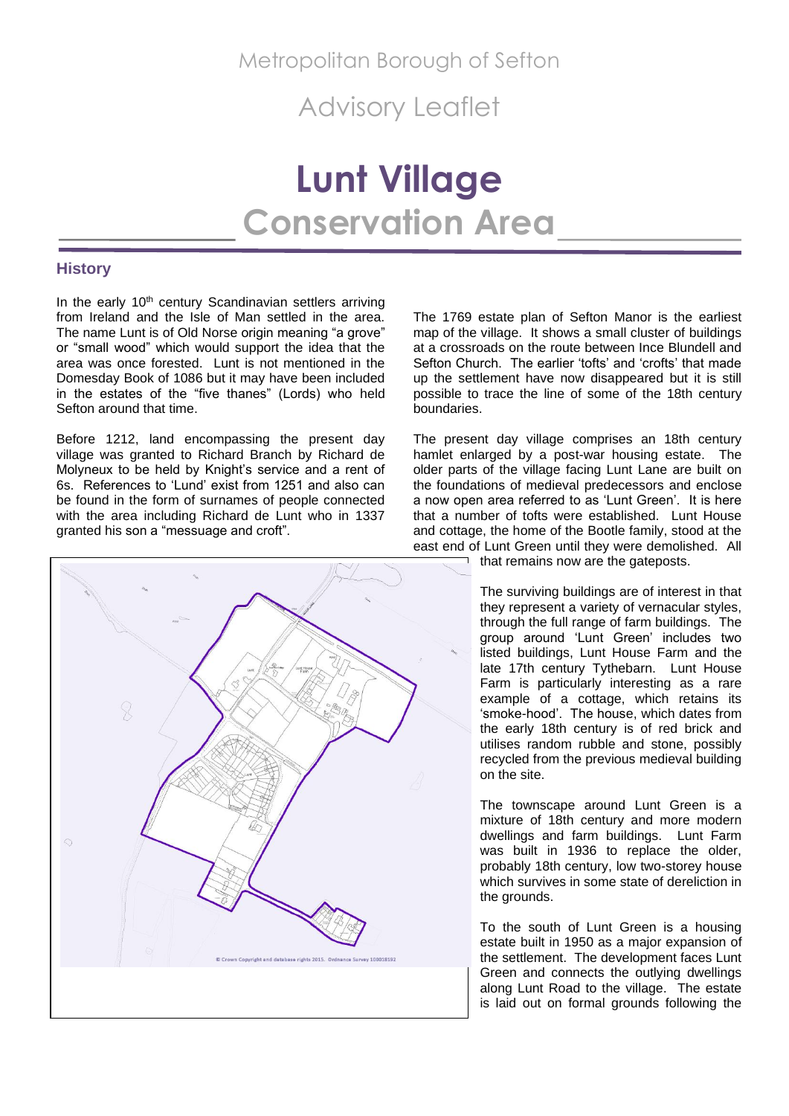Advisory Leaflet

# **Lunt Village Conservation Area**

## **History**

In the early 10<sup>th</sup> century Scandinavian settlers arriving from Ireland and the Isle of Man settled in the area. The name Lunt is of Old Norse origin meaning "a grove" or "small wood" which would support the idea that the area was once forested. Lunt is not mentioned in the Domesday Book of 1086 but it may have been included in the estates of the "five thanes" (Lords) who held Sefton around that time.

Before 1212, land encompassing the present day village was granted to Richard Branch by Richard de Molyneux to be held by Knight's service and a rent of 6s. References to 'Lund' exist from 1251 and also can be found in the form of surnames of people connected with the area including Richard de Lunt who in 1337 granted his son a "messuage and croft".



The 1769 estate plan of Sefton Manor is the earliest map of the village. It shows a small cluster of buildings at a crossroads on the route between Ince Blundell and Sefton Church. The earlier 'tofts' and 'crofts' that made up the settlement have now disappeared but it is still possible to trace the line of some of the 18th century boundaries.

The present day village comprises an 18th century hamlet enlarged by a post-war housing estate. The older parts of the village facing Lunt Lane are built on the foundations of medieval predecessors and enclose a now open area referred to as 'Lunt Green'. It is here that a number of tofts were established. Lunt House and cottage, the home of the Bootle family, stood at the east end of Lunt Green until they were demolished. All

that remains now are the gateposts.

The surviving buildings are of interest in that they represent a variety of vernacular styles, through the full range of farm buildings. The group around 'Lunt Green' includes two listed buildings, Lunt House Farm and the late 17th century Tythebarn. Lunt House Farm is particularly interesting as a rare example of a cottage, which retains its 'smoke-hood'. The house, which dates from the early 18th century is of red brick and utilises random rubble and stone, possibly recycled from the previous medieval building on the site.

The townscape around Lunt Green is a mixture of 18th century and more modern dwellings and farm buildings. Lunt Farm was built in 1936 to replace the older, probably 18th century, low two-storey house which survives in some state of dereliction in the grounds.

To the south of Lunt Green is a housing estate built in 1950 as a major expansion of the settlement. The development faces Lunt Green and connects the outlying dwellings along Lunt Road to the village. The estate is laid out on formal grounds following the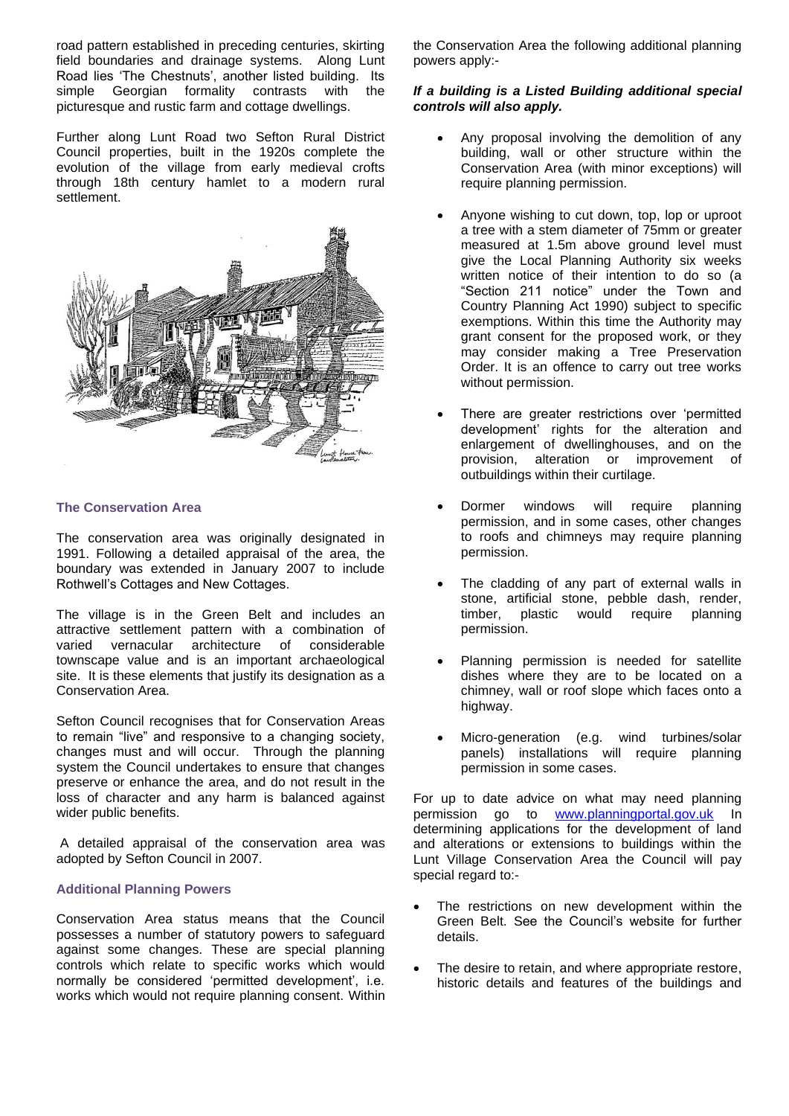road pattern established in preceding centuries, skirting field boundaries and drainage systems. Along Lunt Road lies 'The Chestnuts', another listed building. Its simple Georgian formality contrasts with the picturesque and rustic farm and cottage dwellings.

Further along Lunt Road two Sefton Rural District Council properties, built in the 1920s complete the evolution of the village from early medieval crofts through 18th century hamlet to a modern rural settlement.

![](_page_1_Picture_2.jpeg)

## **The Conservation Area**

The conservation area was originally designated in 1991. Following a detailed appraisal of the area, the boundary was extended in January 2007 to include Rothwell's Cottages and New Cottages.

The village is in the Green Belt and includes an attractive settlement pattern with a combination of varied vernacular architecture of considerable townscape value and is an important archaeological site. It is these elements that justify its designation as a Conservation Area.

Sefton Council recognises that for Conservation Areas to remain "live" and responsive to a changing society, changes must and will occur. Through the planning system the Council undertakes to ensure that changes preserve or enhance the area, and do not result in the loss of character and any harm is balanced against wider public benefits.

A detailed appraisal of the conservation area was adopted by Sefton Council in 2007.

## **Additional Planning Powers**

Conservation Area status means that the Council possesses a number of statutory powers to safeguard against some changes. These are special planning controls which relate to specific works which would normally be considered 'permitted development', i.e. works which would not require planning consent. Within

the Conservation Area the following additional planning powers apply:-

## *If a building is a Listed Building additional special controls will also apply.*

- Any proposal involving the demolition of any building, wall or other structure within the Conservation Area (with minor exceptions) will require planning permission.
- Anyone wishing to cut down, top, lop or uproot a tree with a stem diameter of 75mm or greater measured at 1.5m above ground level must give the Local Planning Authority six weeks written notice of their intention to do so (a "Section 211 notice" under the Town and Country Planning Act 1990) subject to specific exemptions. Within this time the Authority may grant consent for the proposed work, or they may consider making a Tree Preservation Order. It is an offence to carry out tree works without permission.
- There are greater restrictions over 'permitted development' rights for the alteration and enlargement of dwellinghouses, and on the provision, alteration or improvement of outbuildings within their curtilage.
- Dormer windows will require planning permission, and in some cases, other changes to roofs and chimneys may require planning permission.
- The cladding of any part of external walls in stone, artificial stone, pebble dash, render, timber, plastic would require planning permission.
- Planning permission is needed for satellite dishes where they are to be located on a chimney, wall or roof slope which faces onto a highway.
- Micro-generation (e.g. wind turbines/solar panels) installations will require planning permission in some cases.

For up to date advice on what may need planning permission go to [www.planningportal.gov.uk](http://www.planningportal.gov.uk/) In determining applications for the development of land and alterations or extensions to buildings within the Lunt Village Conservation Area the Council will pay special regard to:-

- The restrictions on new development within the Green Belt. See the Council's website for further details.
- The desire to retain, and where appropriate restore, historic details and features of the buildings and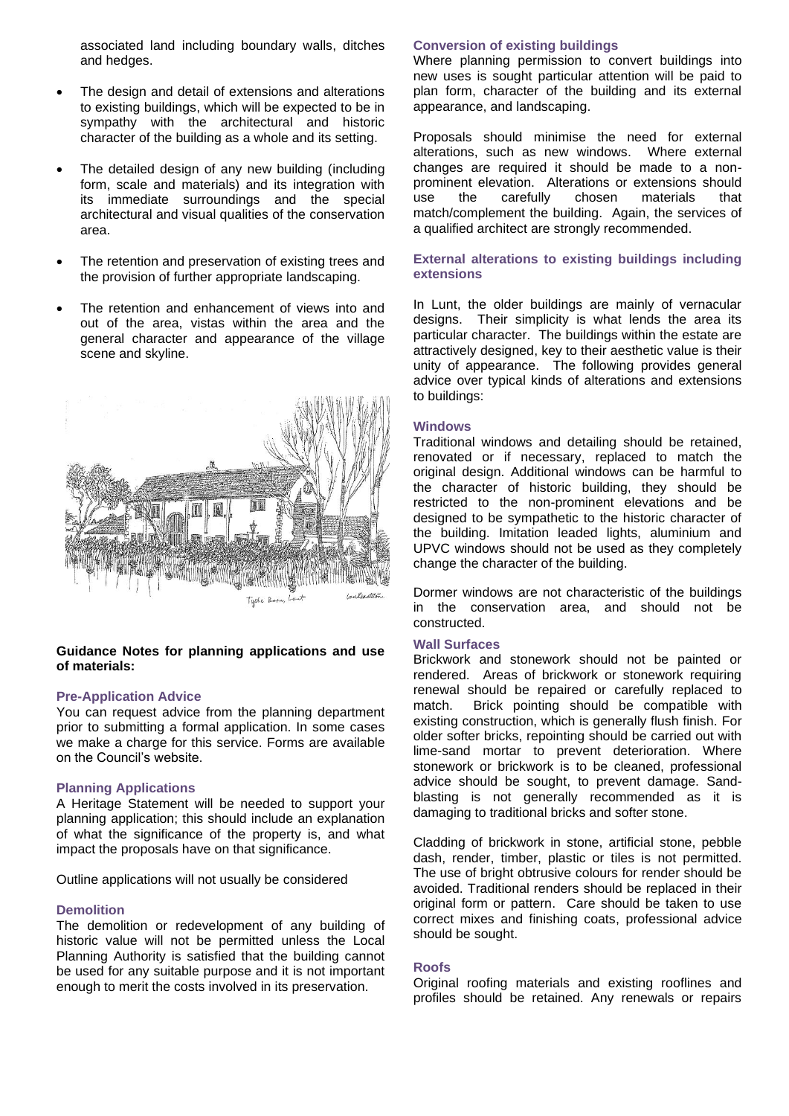associated land including boundary walls, ditches and hedges.

- The design and detail of extensions and alterations to existing buildings, which will be expected to be in sympathy with the architectural and historic character of the building as a whole and its setting.
- The detailed design of any new building (including form, scale and materials) and its integration with its immediate surroundings and the special architectural and visual qualities of the conservation area.
- The retention and preservation of existing trees and the provision of further appropriate landscaping.
- The retention and enhancement of views into and out of the area, vistas within the area and the general character and appearance of the village scene and skyline.

![](_page_2_Picture_5.jpeg)

#### **Guidance Notes for planning applications and use of materials:**

#### **Pre-Application Advice**

You can request advice from the planning department prior to submitting a formal application. In some cases we make a charge for this service. Forms are available on the Council's website.

#### **Planning Applications**

A Heritage Statement will be needed to support your planning application; this should include an explanation of what the significance of the property is, and what impact the proposals have on that significance.

Outline applications will not usually be considered

#### **Demolition**

The demolition or redevelopment of any building of historic value will not be permitted unless the Local Planning Authority is satisfied that the building cannot be used for any suitable purpose and it is not important enough to merit the costs involved in its preservation.

#### **Conversion of existing buildings**

Where planning permission to convert buildings into new uses is sought particular attention will be paid to plan form, character of the building and its external appearance, and landscaping.

Proposals should minimise the need for external alterations, such as new windows. Where external changes are required it should be made to a nonprominent elevation. Alterations or extensions should use the carefully chosen materials that match/complement the building. Again, the services of a qualified architect are strongly recommended.

#### **External alterations to existing buildings including extensions**

In Lunt, the older buildings are mainly of vernacular designs. Their simplicity is what lends the area its particular character. The buildings within the estate are attractively designed, key to their aesthetic value is their unity of appearance. The following provides general advice over typical kinds of alterations and extensions to buildings:

#### **Windows**

Traditional windows and detailing should be retained, renovated or if necessary, replaced to match the original design. Additional windows can be harmful to the character of historic building, they should be restricted to the non-prominent elevations and be designed to be sympathetic to the historic character of the building. Imitation leaded lights, aluminium and UPVC windows should not be used as they completely change the character of the building.

Dormer windows are not characteristic of the buildings in the conservation area, and should not be constructed.

#### **Wall Surfaces**

Brickwork and stonework should not be painted or rendered. Areas of brickwork or stonework requiring renewal should be repaired or carefully replaced to match. Brick pointing should be compatible with existing construction, which is generally flush finish. For older softer bricks, repointing should be carried out with lime-sand mortar to prevent deterioration. Where stonework or brickwork is to be cleaned, professional advice should be sought, to prevent damage. Sandblasting is not generally recommended as it is damaging to traditional bricks and softer stone.

Cladding of brickwork in stone, artificial stone, pebble dash, render, timber, plastic or tiles is not permitted. The use of bright obtrusive colours for render should be avoided. Traditional renders should be replaced in their original form or pattern. Care should be taken to use correct mixes and finishing coats, professional advice should be sought.

#### **Roofs**

Original roofing materials and existing rooflines and profiles should be retained. Any renewals or repairs